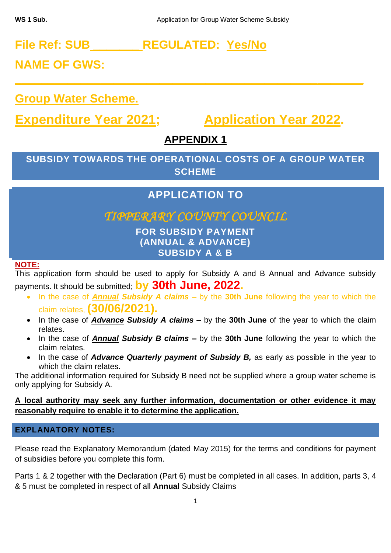# **File Ref: SUB \_\_\_\_\_\_\_ REGULATED: Yes/No**

**NAME OF GWS:** 

**Group Water Scheme.**

**Expenditure Year 2021; Application Year 2022.**

# **APPENDIX 1**

**\_\_\_\_\_\_\_\_\_\_\_\_\_\_\_\_\_\_\_\_\_\_\_\_\_\_\_\_\_\_\_\_\_\_\_\_\_\_\_\_\_\_\_\_\_\_\_\_\_\_\_\_\_**

**SUBSIDY TOWARDS THE OPERATIONAL COSTS OF A GROUP WATER SCHEME**

# **APPLICATION TO**

# *TIPPERARY COUNTY COUNCIL*

**FOR SUBSIDY PAYMENT (ANNUAL & ADVANCE) SUBSIDY A & B**

## **NOTE:**

This application form should be used to apply for Subsidy A and B Annual and Advance subsidy payments. It should be submitted; **by 30th June, 2022.**

- In the case of *Annual Subsidy A claims –* by the **30th June** following the year to which the claim relates, **(30/06/2021).**
- In the case of *Advance Subsidy A claims –* by the **30th June** of the year to which the claim relates.
- In the case of *Annual Subsidy B claims –* by the **30th June** following the year to which the claim relates.
- In the case of *Advance Quarterly payment of Subsidy B,* as early as possible in the year to which the claim relates.

The additional information required for Subsidy B need not be supplied where a group water scheme is only applying for Subsidy A.

## **A local authority may seek any further information, documentation or other evidence it may reasonably require to enable it to determine the application.**

# **EXPLANATORY NOTES:**

Please read the Explanatory Memorandum (dated May 2015) for the terms and conditions for payment of subsidies before you complete this form.

Parts 1 & 2 together with the Declaration (Part 6) must be completed in all cases. In addition, parts 3, 4 & 5 must be completed in respect of all **Annual** Subsidy Claims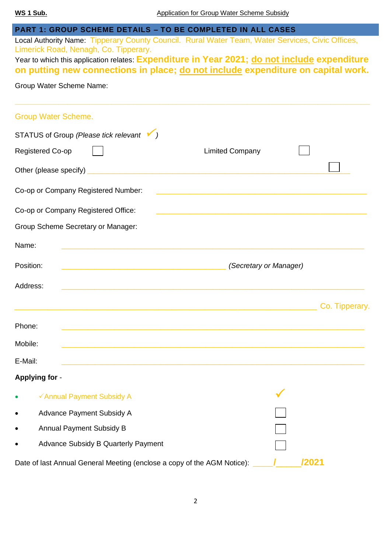## **PART 1: GROUP SCHEME DETAILS – TO BE COMPLETED IN ALL CASES**

Local Authority Name: Tipperary County Council. Rural Water Team, Water Services, Civic Offices, Limerick Road, Nenagh, Co. Tipperary.

Year to which this application relates: **Expenditure in Year 2021; do not include expenditure on putting new connections in place; do not include expenditure on capital work.**

Group Water Scheme Name:

| Group Water Scheme.                                                                                                               |                                                                                                                                        |
|-----------------------------------------------------------------------------------------------------------------------------------|----------------------------------------------------------------------------------------------------------------------------------------|
| STATUS of Group (Please tick relevant V)                                                                                          |                                                                                                                                        |
| Registered Co-op                                                                                                                  | <b>Limited Company</b>                                                                                                                 |
|                                                                                                                                   |                                                                                                                                        |
| Co-op or Company Registered Number:                                                                                               | <u> 1989 - Andrea Stein, Amerikaansk politiker (d. 1989)</u>                                                                           |
| Co-op or Company Registered Office:                                                                                               | <u> 1989 - Johann Stoff, amerikansk politiker (d. 1989)</u>                                                                            |
| Group Scheme Secretary or Manager:                                                                                                |                                                                                                                                        |
| Name:<br><u> 1989 - Johann Stoff, amerikansk politiker (d. 1989)</u>                                                              |                                                                                                                                        |
| Position:<br><u> 1990 - Johann John Stone, markin film yn y systematist yn y systematist yn y systematist yn y systematist yn</u> | (Secretary or Manager)                                                                                                                 |
| Address:                                                                                                                          | <u> 1989 - Johann John Stone, meny ambany amin'ny fivondronan-kaominin'i Amerika ao amin'ny fivondronan-kaominin'</u>                  |
|                                                                                                                                   | Co. Tipperary.<br><u> 1989 - Johann John Stein, markin film yn y brenin y brenin y brenin y brenin y brenin y brenin y brenin y br</u> |
| Phone:                                                                                                                            | <u> 1990 - Johann John Stoff, amerikan besteht als dem besteht als der stadt als der stadt als der stadt als de</u>                    |
| Mobile:                                                                                                                           | ,我们也不会有什么。""我们的人,我们也不会有什么?""我们的人,我们也不会有什么?""我们的人,我们也不会有什么?""我们的人,我们也不会有什么?""我们的人                                                       |
| E-Mail:                                                                                                                           |                                                                                                                                        |
| <b>Applying for -</b>                                                                                                             |                                                                                                                                        |
| √Annual Payment Subsidy A                                                                                                         |                                                                                                                                        |
| Advance Payment Subsidy A                                                                                                         |                                                                                                                                        |
| <b>Annual Payment Subsidy B</b>                                                                                                   |                                                                                                                                        |
| <b>Advance Subsidy B Quarterly Payment</b>                                                                                        |                                                                                                                                        |
| Date of last Annual General Meeting (enclose a copy of the AGM Notice):                                                           | /2021                                                                                                                                  |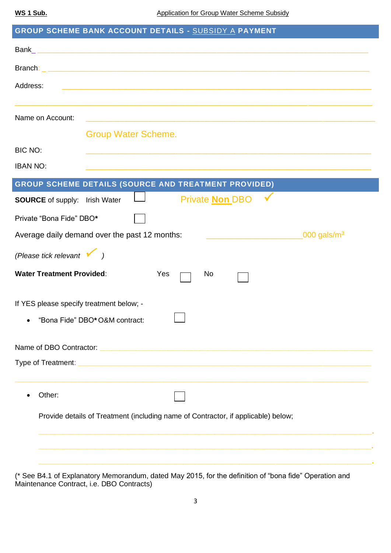| Address:<br><u> 1989 - Johann Harry Barn, mars ar breithich an der Barn and der Barn and der Barn and der Barn and der Barn a</u><br>Name on Account:<br><u> 1989 - Johann Stoff, amerikansk politiker (d. 1989)</u><br><b>Group Water Scheme.</b><br><b>BIC NO:</b><br><b>IBAN NO:</b><br><b>GROUP SCHEME DETAILS (SOURCE AND TREATMENT PROVIDED)</b><br>Private <b>Non DBO</b><br><b>SOURCE</b> of supply: Irish Water<br>Private "Bona Fide" DBO*<br>Average daily demand over the past 12 months:<br>$\_000$ gals/m $^3$<br><u> 1980 - Johann Barbara, martxa al</u><br>(Please tick relevant $\sqrt{ }$ )<br><b>Water Treatment Provided:</b><br>Yes<br>No.<br>If YES please specify treatment below; -<br>"Bona Fide" DBO* O&M contract: |  |  |  |
|------------------------------------------------------------------------------------------------------------------------------------------------------------------------------------------------------------------------------------------------------------------------------------------------------------------------------------------------------------------------------------------------------------------------------------------------------------------------------------------------------------------------------------------------------------------------------------------------------------------------------------------------------------------------------------------------------------------------------------------------|--|--|--|
|                                                                                                                                                                                                                                                                                                                                                                                                                                                                                                                                                                                                                                                                                                                                                |  |  |  |
|                                                                                                                                                                                                                                                                                                                                                                                                                                                                                                                                                                                                                                                                                                                                                |  |  |  |
|                                                                                                                                                                                                                                                                                                                                                                                                                                                                                                                                                                                                                                                                                                                                                |  |  |  |
|                                                                                                                                                                                                                                                                                                                                                                                                                                                                                                                                                                                                                                                                                                                                                |  |  |  |
|                                                                                                                                                                                                                                                                                                                                                                                                                                                                                                                                                                                                                                                                                                                                                |  |  |  |
|                                                                                                                                                                                                                                                                                                                                                                                                                                                                                                                                                                                                                                                                                                                                                |  |  |  |
|                                                                                                                                                                                                                                                                                                                                                                                                                                                                                                                                                                                                                                                                                                                                                |  |  |  |
|                                                                                                                                                                                                                                                                                                                                                                                                                                                                                                                                                                                                                                                                                                                                                |  |  |  |
|                                                                                                                                                                                                                                                                                                                                                                                                                                                                                                                                                                                                                                                                                                                                                |  |  |  |
|                                                                                                                                                                                                                                                                                                                                                                                                                                                                                                                                                                                                                                                                                                                                                |  |  |  |
|                                                                                                                                                                                                                                                                                                                                                                                                                                                                                                                                                                                                                                                                                                                                                |  |  |  |
|                                                                                                                                                                                                                                                                                                                                                                                                                                                                                                                                                                                                                                                                                                                                                |  |  |  |
|                                                                                                                                                                                                                                                                                                                                                                                                                                                                                                                                                                                                                                                                                                                                                |  |  |  |
|                                                                                                                                                                                                                                                                                                                                                                                                                                                                                                                                                                                                                                                                                                                                                |  |  |  |
|                                                                                                                                                                                                                                                                                                                                                                                                                                                                                                                                                                                                                                                                                                                                                |  |  |  |
|                                                                                                                                                                                                                                                                                                                                                                                                                                                                                                                                                                                                                                                                                                                                                |  |  |  |
|                                                                                                                                                                                                                                                                                                                                                                                                                                                                                                                                                                                                                                                                                                                                                |  |  |  |
| Other:                                                                                                                                                                                                                                                                                                                                                                                                                                                                                                                                                                                                                                                                                                                                         |  |  |  |
| Provide details of Treatment (including name of Contractor, if applicable) below;                                                                                                                                                                                                                                                                                                                                                                                                                                                                                                                                                                                                                                                              |  |  |  |
|                                                                                                                                                                                                                                                                                                                                                                                                                                                                                                                                                                                                                                                                                                                                                |  |  |  |
|                                                                                                                                                                                                                                                                                                                                                                                                                                                                                                                                                                                                                                                                                                                                                |  |  |  |

(\* See B4.1 of Explanatory Memorandum, dated May 2015, for the definition of "bona fide" Operation and Maintenance Contract, i.e. DBO Contracts)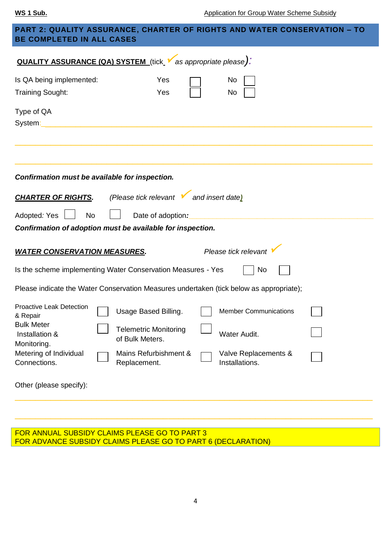| <b>PART 2: QUALITY ASSURANCE, CHARTER OF RIGHTS AND WATER CONSERVATION – TO</b><br><b>BE COMPLETED IN ALL CASES</b> |                                                                                         |  |  |  |  |
|---------------------------------------------------------------------------------------------------------------------|-----------------------------------------------------------------------------------------|--|--|--|--|
| <b>QUALITY ASSURANCE (QA) SYSTEM</b> (tick V as appropriate please).                                                |                                                                                         |  |  |  |  |
| Is QA being implemented:                                                                                            | Yes<br>No                                                                               |  |  |  |  |
| <b>Training Sought:</b>                                                                                             | Yes<br>No                                                                               |  |  |  |  |
| Type of QA<br>System:                                                                                               |                                                                                         |  |  |  |  |
|                                                                                                                     | Confirmation must be available for inspection.                                          |  |  |  |  |
| <b>CHARTER OF RIGHTS.</b>                                                                                           | (Please tick relevant vand insert date)                                                 |  |  |  |  |
|                                                                                                                     |                                                                                         |  |  |  |  |
| Adopted: Yes<br><b>No</b><br>Date of adoption:                                                                      |                                                                                         |  |  |  |  |
|                                                                                                                     | Confirmation of adoption must be available for inspection.                              |  |  |  |  |
| <b>WATER CONSERVATION MEASURES.</b>                                                                                 | Please tick relevant                                                                    |  |  |  |  |
| Is the scheme implementing Water Conservation Measures - Yes<br>No                                                  |                                                                                         |  |  |  |  |
|                                                                                                                     | Please indicate the Water Conservation Measures undertaken (tick below as appropriate); |  |  |  |  |
| <b>Proactive Leak Detection</b><br>& Repair                                                                         | Usage Based Billing.<br><b>Member Communications</b>                                    |  |  |  |  |
| <b>Bulk Meter</b><br>Installation &<br>Monitoring.                                                                  | <b>Telemetric Monitoring</b><br>Water Audit.<br>of Bulk Meters.                         |  |  |  |  |
| Metering of Individual<br>Connections.                                                                              | Mains Refurbishment &<br>Valve Replacements &<br>Installations.<br>Replacement.         |  |  |  |  |
| Other (please specify):                                                                                             |                                                                                         |  |  |  |  |
|                                                                                                                     |                                                                                         |  |  |  |  |

FOR ANNUAL SUBSIDY CLAIMS PLEASE GO TO PART 3 FOR ADVANCE SUBSIDY CLAIMS PLEASE GO TO PART 6 (DECLARATION)

\_\_\_\_\_\_\_\_\_\_\_\_\_\_\_\_\_\_\_\_\_\_\_\_\_\_\_\_\_\_\_\_\_\_\_\_\_\_\_\_\_\_\_\_\_\_\_\_\_\_\_\_\_\_\_\_\_\_\_\_\_\_\_\_\_\_\_\_\_\_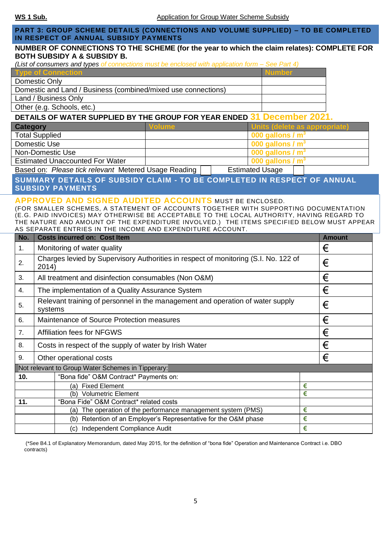### **PART 3: GROUP SCHEME DETAILS (CONNECTIONS AND VOLUME SUPPLIED) – TO BE COMPLETED IN RESPECT OF ANNUAL SUBSIDY PAYMENTS**

#### **NUMBER OF CONNECTIONS TO THE SCHEME (for the year to which the claim relates): COMPLETE FOR BOTH SUBSIDY A & SUBSIDY B.**

*(List of consumers and types of connections must be enclosed with application form – See Part 4)*

| <b>Type of Connection</b>                                     | <b>Number</b> |
|---------------------------------------------------------------|---------------|
| Domestic Only                                                 |               |
| Domestic and Land / Business (combined/mixed use connections) |               |
| Land / Business Only                                          |               |
| Other (e.g. Schools, etc.)                                    |               |

### **DETAILS OF WATER SUPPLIED BY THE GROUP FOR YEAR ENDED 31 December 2021.**

| Category                               | Volume | <b>Units (delete as appropriate)</b>  |
|----------------------------------------|--------|---------------------------------------|
| <b>Total Supplied</b>                  |        | 000 gallons / $m3$                    |
| Domestic Use                           |        | $\sim$ 000 gallons / m <sup>3</sup>   |
| Non-Domestic Use                       |        | $\vert$ 000 gallons / m <sup>3</sup>  |
| <b>Estimated Unaccounted For Water</b> |        | $\sqrt{000}$ gallons / m <sup>3</sup> |

Based on: Please tick relevant Metered Usage Reading **Estimated Usage** 

**SUMMARY DETAILS OF SUBSIDY CLAIM - TO BE COMPLETED IN RESPECT OF ANNUAL SUBSIDY PAYMENTS**

#### **APPROVED AND SIGNED AUDITED ACCOUNTS** MUST BE ENCLOSED.

(FOR SMALLER SCHEMES, A STATEMENT OF ACCOUNTS TOGETHER WITH SUPPORTING DOCUMENTATION (E.G. PAID INVOICES) MAY OTHERWISE BE ACCEPTABLE TO THE LOCAL AUTHORITY, HAVING REGARD TO THE NATURE AND AMOUNT OF THE EXPENDITURE INVOLVED.) THE ITEMS SPECIFIED BELOW MUST APPEAR AS SEPARATE ENTRIES IN THE INCOME AND EXPENDITURE ACCOUNT.

| No.                                               |                                                                                                | <b>Costs incurred on: Cost Item</b>                                |   | <b>Amount</b> |
|---------------------------------------------------|------------------------------------------------------------------------------------------------|--------------------------------------------------------------------|---|---------------|
| 1.                                                | Monitoring of water quality                                                                    |                                                                    |   | €             |
| 2.                                                | Charges levied by Supervisory Authorities in respect of monitoring (S.I. No. 122 of<br>2014)   |                                                                    |   | €             |
| 3.                                                |                                                                                                | All treatment and disinfection consumables (Non O&M)               |   | €             |
| 4.                                                |                                                                                                | The implementation of a Quality Assurance System                   |   | €             |
| 5.                                                | Relevant training of personnel in the management and operation of water supply<br>€<br>systems |                                                                    |   |               |
| 6.                                                | €<br>Maintenance of Source Protection measures                                                 |                                                                    |   |               |
| 7.                                                | <b>Affiliation fees for NFGWS</b>                                                              |                                                                    |   | €             |
| 8.                                                | Costs in respect of the supply of water by Irish Water                                         |                                                                    | € |               |
| 9.                                                | Other operational costs                                                                        |                                                                    | € |               |
| Not relevant to Group Water Schemes in Tipperary: |                                                                                                |                                                                    |   |               |
| 10.                                               |                                                                                                | "Bona fide" O&M Contract* Payments on:                             |   |               |
|                                                   |                                                                                                | <b>Fixed Element</b><br>(a)                                        | € |               |
|                                                   |                                                                                                | <b>Volumetric Element</b><br>(b)                                   | € |               |
| 11.                                               |                                                                                                | "Bona Fide" O&M Contract* related costs                            |   |               |
|                                                   |                                                                                                | The operation of the performance management system (PMS)<br>(a)    | € |               |
|                                                   |                                                                                                | Retention of an Employer's Representative for the O&M phase<br>(b) | € |               |
|                                                   |                                                                                                | (c) Independent Compliance Audit                                   | € |               |

(\*See B4.1 of Explanatory Memorandum, dated May 2015, for the definition of "bona fide" Operation and Maintenance Contract i.e. DBO contracts)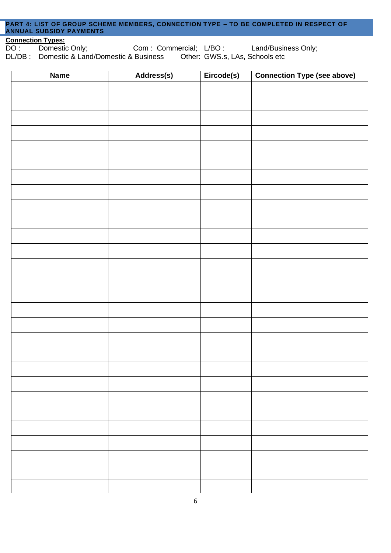#### **PART 4: LIST OF GROUP SCHEME MEMBERS, CONNECTION TYPE – TO BE COMPLETED IN RESPECT OF ANNUAL SUBSIDY PAYMENTS**

**Connection Types:**<br>DO: Domestic Only; Com : Commercial; L/BO : Land/Business Only;<br>Business Other: GWS.s, LAs, Schools etc DL/DB : Domestic & Land/Domestic & Business

| <b>Name</b> | Address(s) | Eircode(s) | <b>Connection Type (see above)</b> |
|-------------|------------|------------|------------------------------------|
|             |            |            |                                    |
|             |            |            |                                    |
|             |            |            |                                    |
|             |            |            |                                    |
|             |            |            |                                    |
|             |            |            |                                    |
|             |            |            |                                    |
|             |            |            |                                    |
|             |            |            |                                    |
|             |            |            |                                    |
|             |            |            |                                    |
|             |            |            |                                    |
|             |            |            |                                    |
|             |            |            |                                    |
|             |            |            |                                    |
|             |            |            |                                    |
|             |            |            |                                    |
|             |            |            |                                    |
|             |            |            |                                    |
|             |            |            |                                    |
|             |            |            |                                    |
|             |            |            |                                    |
|             |            |            |                                    |
|             |            |            |                                    |
|             |            |            |                                    |
|             |            |            |                                    |
|             |            |            |                                    |
|             |            |            |                                    |